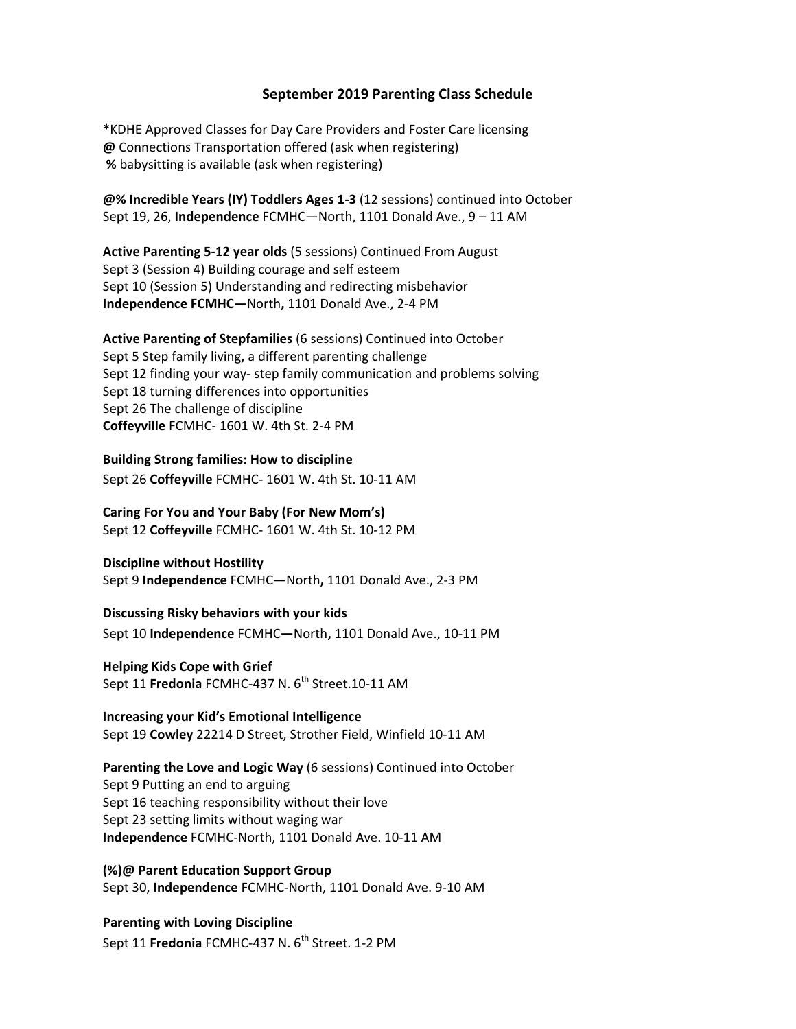### **September 2019 Parenting Class Schedule**

**\***KDHE Approved Classes for Day Care Providers and Foster Care licensing **@** Connections Transportation offered (ask when registering) **%** babysitting is available (ask when registering)

**@% Incredible Years (IY) Toddlers Ages 1‐3** (12 sessions) continued into October Sept 19, 26, **Independence** FCMHC—North, 1101 Donald Ave., 9 – 11 AM

**Active Parenting 5‐12 year olds** (5 sessions) Continued From August Sept 3 (Session 4) Building courage and self esteem Sept 10 (Session 5) Understanding and redirecting misbehavior **Independence FCMHC—**North**,** 1101 Donald Ave., 2‐4 PM

**Active Parenting of Stepfamilies** (6 sessions) Continued into October Sept 5 Step family living, a different parenting challenge Sept 12 finding your way‐ step family communication and problems solving Sept 18 turning differences into opportunities Sept 26 The challenge of discipline **Coffeyville** FCMHC‐ 1601 W. 4th St. 2‐4 PM

#### **Building Strong families: How to discipline**

Sept 26 **Coffeyville** FCMHC‐ 1601 W. 4th St. 10‐11 AM

**Caring For You and Your Baby (For New Mom's)**  Sept 12 **Coffeyville** FCMHC‐ 1601 W. 4th St. 10‐12 PM

## **Discipline without Hostility**

Sept 9 **Independence** FCMHC**—**North**,** 1101 Donald Ave., 2‐3 PM

#### **Discussing Risky behaviors with your kids**

Sept 10 **Independence** FCMHC**—**North**,** 1101 Donald Ave., 10‐11 PM

#### **Helping Kids Cope with Grief**

Sept 11 **Fredonia** FCMHC-437 N. 6<sup>th</sup> Street.10-11 AM

# **Increasing your Kid's Emotional Intelligence**

Sept 19 **Cowley** 22214 D Street, Strother Field, Winfield 10‐11 AM

**Parenting the Love and Logic Way** (6 sessions) Continued into October Sept 9 Putting an end to arguing Sept 16 teaching responsibility without their love Sept 23 setting limits without waging war **Independence** FCMHC‐North, 1101 Donald Ave. 10‐11 AM

#### **(%)@ Parent Education Support Group**

Sept 30, **Independence** FCMHC‐North, 1101 Donald Ave. 9‐10 AM

## **Parenting with Loving Discipline**

Sept 11 **Fredonia** FCMHC-437 N. 6<sup>th</sup> Street. 1-2 PM